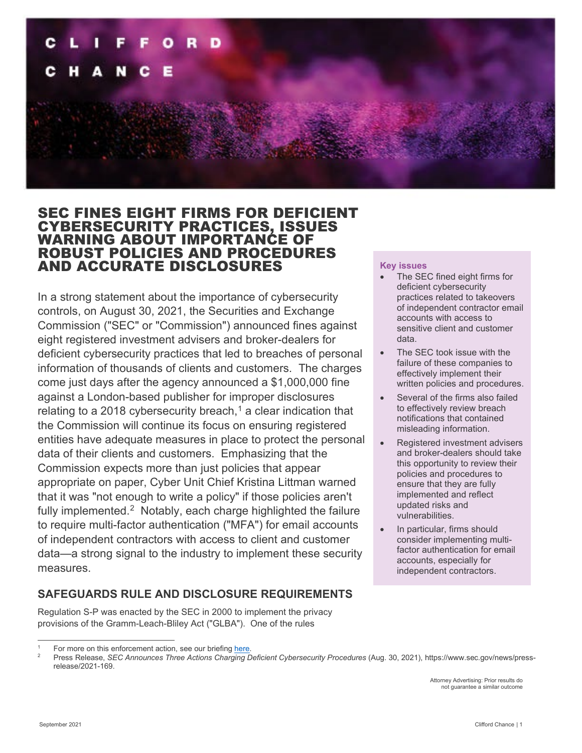

## SEC FINES EIGHT FIRMS FOR DEFICIENT CYBERSECURITY PRACTICES, ISSUES WARNING ABOUT IMPORTANCE OF ROBUST POLICIES AND PROCEDURES AND ACCURATE DISCLOSURES

In a strong statement about the importance of cybersecurity controls, on August 30, 2021, the Securities and Exchange Commission ("SEC" or "Commission") announced fines against eight registered investment advisers and broker-dealers for deficient cybersecurity practices that led to breaches of personal information of thousands of clients and customers. The charges come just days after the agency announced a \$1,000,000 fine against a London-based publisher for improper disclosures relating to a 20[1](#page-0-0)8 cybersecurity breach,<sup>1</sup> a clear indication that the Commission will continue its focus on ensuring registered entities have adequate measures in place to protect the personal data of their clients and customers. Emphasizing that the Commission expects more than just policies that appear appropriate on paper, Cyber Unit Chief Kristina Littman warned that it was "not enough to write a policy" if those policies aren't fully implemented. $2$  Notably, each charge highlighted the failure to require multi-factor authentication ("MFA") for email accounts of independent contractors with access to client and customer data—a strong signal to the industry to implement these security measures.

## **SAFEGUARDS RULE AND DISCLOSURE REQUIREMENTS**

Regulation S-P was enacted by the SEC in 2000 to implement the privacy provisions of the Gramm-Leach-Bliley Act ("GLBA"). One of the rules

Attorney Advertising: Prior results do not guarantee a similar outcome

#### **Key issues**

- The SEC fined eight firms for deficient cybersecurity practices related to takeovers of independent contractor email accounts with access to sensitive client and customer data.
- The SEC took issue with the failure of these companies to effectively implement their written policies and procedures.
- Several of the firms also failed to effectively review breach notifications that contained misleading information.
- Registered investment advisers and broker-dealers should take this opportunity to review their policies and procedures to ensure that they are fully implemented and reflect updated risks and vulnerabilities.
- In particular, firms should consider implementing multifactor authentication for email accounts, especially for independent contractors.

<span id="page-0-0"></span>For more on this enforcement action, see our briefin[g here.](https://www.cliffordchance.com/briefings/2021/08/sec-continues-focus-on-cybersecurity-with-enforcement-action-aga.html)

<span id="page-0-1"></span><sup>2</sup> Press Release, *SEC Announces Three Actions Charging Deficient Cybersecurity Procedures* (Aug. 30, 2021), https://www.sec.gov/news/pressrelease/2021-169.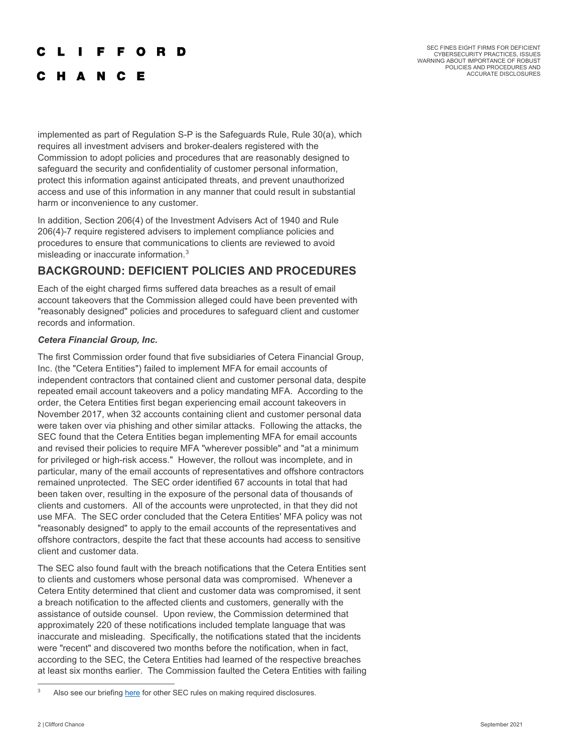#### **FFORD** L

C H A N C E

SEC FINES EIGHT FIRMS FOR DEFICIENT CYBERSECURITY PRACTICES, ISSUES WARNING ABOUT IMPORTANCE OF ROBUST POLICIES AND PROCEDURES AND ACCURATE DISCLOSURES

implemented as part of Regulation S-P is the Safeguards Rule, Rule 30(a), which requires all investment advisers and broker-dealers registered with the Commission to adopt policies and procedures that are reasonably designed to safeguard the security and confidentiality of customer personal information, protect this information against anticipated threats, and prevent unauthorized access and use of this information in any manner that could result in substantial harm or inconvenience to any customer.

In addition, Section 206(4) of the Investment Advisers Act of 1940 and Rule 206(4)-7 require registered advisers to implement compliance policies and procedures to ensure that communications to clients are reviewed to avoid misleading or inaccurate information. $3$ 

## **BACKGROUND: DEFICIENT POLICIES AND PROCEDURES**

Each of the eight charged firms suffered data breaches as a result of email account takeovers that the Commission alleged could have been prevented with "reasonably designed" policies and procedures to safeguard client and customer records and information.

## *Cetera Financial Group, Inc.*

The first Commission order found that five subsidiaries of Cetera Financial Group, Inc. (the "Cetera Entities") failed to implement MFA for email accounts of independent contractors that contained client and customer personal data, despite repeated email account takeovers and a policy mandating MFA. According to the order, the Cetera Entities first began experiencing email account takeovers in November 2017, when 32 accounts containing client and customer personal data were taken over via phishing and other similar attacks. Following the attacks, the SEC found that the Cetera Entities began implementing MFA for email accounts and revised their policies to require MFA "wherever possible" and "at a minimum for privileged or high-risk access." However, the rollout was incomplete, and in particular, many of the email accounts of representatives and offshore contractors remained unprotected. The SEC order identified 67 accounts in total that had been taken over, resulting in the exposure of the personal data of thousands of clients and customers. All of the accounts were unprotected, in that they did not use MFA. The SEC order concluded that the Cetera Entities' MFA policy was not "reasonably designed" to apply to the email accounts of the representatives and offshore contractors, despite the fact that these accounts had access to sensitive client and customer data.

The SEC also found fault with the breach notifications that the Cetera Entities sent to clients and customers whose personal data was compromised. Whenever a Cetera Entity determined that client and customer data was compromised, it sent a breach notification to the affected clients and customers, generally with the assistance of outside counsel. Upon review, the Commission determined that approximately 220 of these notifications included template language that was inaccurate and misleading. Specifically, the notifications stated that the incidents were "recent" and discovered two months before the notification, when in fact, according to the SEC, the Cetera Entities had learned of the respective breaches at least six months earlier. The Commission faulted the Cetera Entities with failing

<span id="page-1-0"></span><sup>&</sup>lt;sup>3</sup> Also see our briefin[g here](https://talkingtech.cliffordchance.com/en/data-cyber/cyber/the-securities-and-exchange-commission-issues-new-cybersecurity-.html) for other SEC rules on making required disclosures.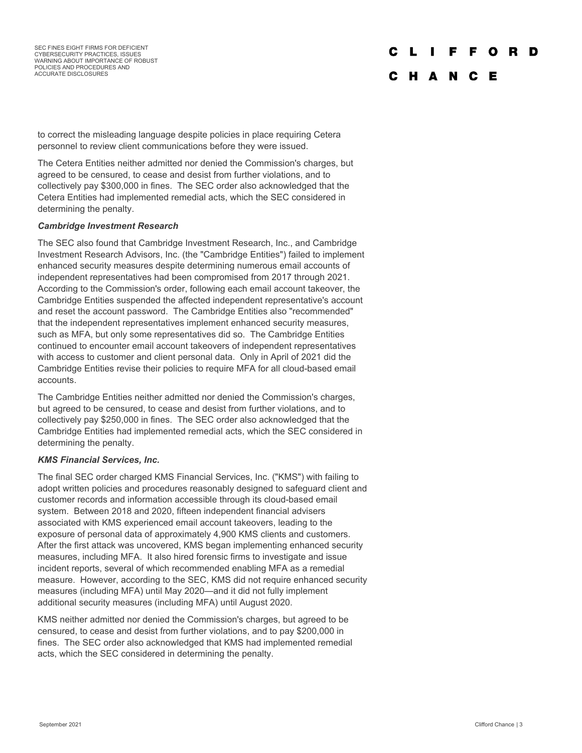SEC FINES EIGHT FIRMS FOR DEFICIENT CYBERSECURITY PRACTICES, ISSUES WARNING ABOUT IMPORTANCE OF ROBUST POLICIES AND PROCEDURES AND ACCURATE DISCLOSURES

#### C L  $\mathbf{I}$ **FFORD**

## C H A N C E

to correct the misleading language despite policies in place requiring Cetera personnel to review client communications before they were issued.

The Cetera Entities neither admitted nor denied the Commission's charges, but agreed to be censured, to cease and desist from further violations, and to collectively pay \$300,000 in fines. The SEC order also acknowledged that the Cetera Entities had implemented remedial acts, which the SEC considered in determining the penalty.

#### *Cambridge Investment Research*

The SEC also found that Cambridge Investment Research, Inc., and Cambridge Investment Research Advisors, Inc. (the "Cambridge Entities") failed to implement enhanced security measures despite determining numerous email accounts of independent representatives had been compromised from 2017 through 2021. According to the Commission's order, following each email account takeover, the Cambridge Entities suspended the affected independent representative's account and reset the account password. The Cambridge Entities also "recommended" that the independent representatives implement enhanced security measures, such as MFA, but only some representatives did so. The Cambridge Entities continued to encounter email account takeovers of independent representatives with access to customer and client personal data. Only in April of 2021 did the Cambridge Entities revise their policies to require MFA for all cloud-based email accounts.

The Cambridge Entities neither admitted nor denied the Commission's charges, but agreed to be censured, to cease and desist from further violations, and to collectively pay \$250,000 in fines. The SEC order also acknowledged that the Cambridge Entities had implemented remedial acts, which the SEC considered in determining the penalty.

#### *KMS Financial Services, Inc.*

The final SEC order charged KMS Financial Services, Inc. ("KMS") with failing to adopt written policies and procedures reasonably designed to safeguard client and customer records and information accessible through its cloud-based email system. Between 2018 and 2020, fifteen independent financial advisers associated with KMS experienced email account takeovers, leading to the exposure of personal data of approximately 4,900 KMS clients and customers. After the first attack was uncovered, KMS began implementing enhanced security measures, including MFA. It also hired forensic firms to investigate and issue incident reports, several of which recommended enabling MFA as a remedial measure. However, according to the SEC, KMS did not require enhanced security measures (including MFA) until May 2020—and it did not fully implement additional security measures (including MFA) until August 2020.

KMS neither admitted nor denied the Commission's charges, but agreed to be censured, to cease and desist from further violations, and to pay \$200,000 in fines. The SEC order also acknowledged that KMS had implemented remedial acts, which the SEC considered in determining the penalty.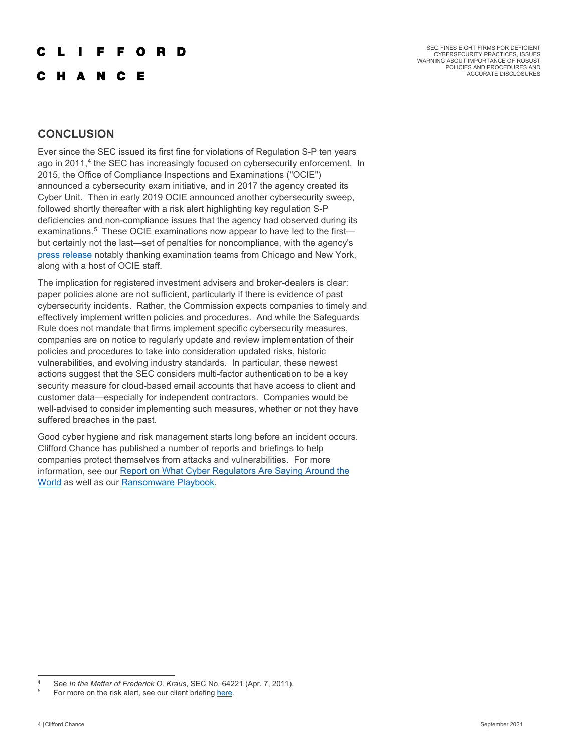## F F O R D

**HANCE** 

SEC FINES EIGHT FIRMS FOR DEFICIENT CYBERSECURITY PRACTICES, ISSUES WARNING ABOUT IMPORTANCE OF ROBUST POLICIES AND PROCEDURES AND ACCURATE DISCLOSURES

## **CONCLUSION**

Ever since the SEC issued its first fine for violations of Regulation S-P ten years ago in 2011,<sup>[4](#page-3-0)</sup> the SEC has increasingly focused on cybersecurity enforcement. In 2015, the Office of Compliance Inspections and Examinations ("OCIE") announced a cybersecurity exam initiative, and in 2017 the agency created its Cyber Unit. Then in early 2019 OCIE announced another cybersecurity sweep, followed shortly thereafter with a risk alert highlighting key regulation S-P deficiencies and non-compliance issues that the agency had observed during its examinations.<sup>[5](#page-3-1)</sup> These OCIE examinations now appear to have led to the first but certainly not the last—set of penalties for noncompliance, with the agency's [press release](https://www.sec.gov/news/press-release/2021-169) notably thanking examination teams from Chicago and New York, along with a host of OCIE staff.

The implication for registered investment advisers and broker-dealers is clear: paper policies alone are not sufficient, particularly if there is evidence of past cybersecurity incidents. Rather, the Commission expects companies to timely and effectively implement written policies and procedures. And while the Safeguards Rule does not mandate that firms implement specific cybersecurity measures, companies are on notice to regularly update and review implementation of their policies and procedures to take into consideration updated risks, historic vulnerabilities, and evolving industry standards. In particular, these newest actions suggest that the SEC considers multi-factor authentication to be a key security measure for cloud-based email accounts that have access to client and customer data—especially for independent contractors. Companies would be well-advised to consider implementing such measures, whether or not they have suffered breaches in the past.

Good cyber hygiene and risk management starts long before an incident occurs. Clifford Chance has published a number of reports and briefings to help companies protect themselves from attacks and vulnerabilities. For more information, see our Report on What Cyber Regulators Are Saying Around the [World](https://www.cliffordchance.com/briefings/2020/12/cyber-security-what-regulators-are-saying.html) as well as our [Ransomware Playbook.](https://talkingtech.cliffordchance.com/en/data-cyber/cyber/the-ransomware-playbook---prevent-and-prepare.html)

<span id="page-3-0"></span>See *In the Matter of Frederick O. Kraus*, SEC No. 64221 (Apr. 7, 2011).

<span id="page-3-1"></span>For more on the risk alert, see our client briefin[g here.](https://www.cliffordchance.com/briefings/2019/05/ocie_risk_alert_highlightskeyregulations-.html)